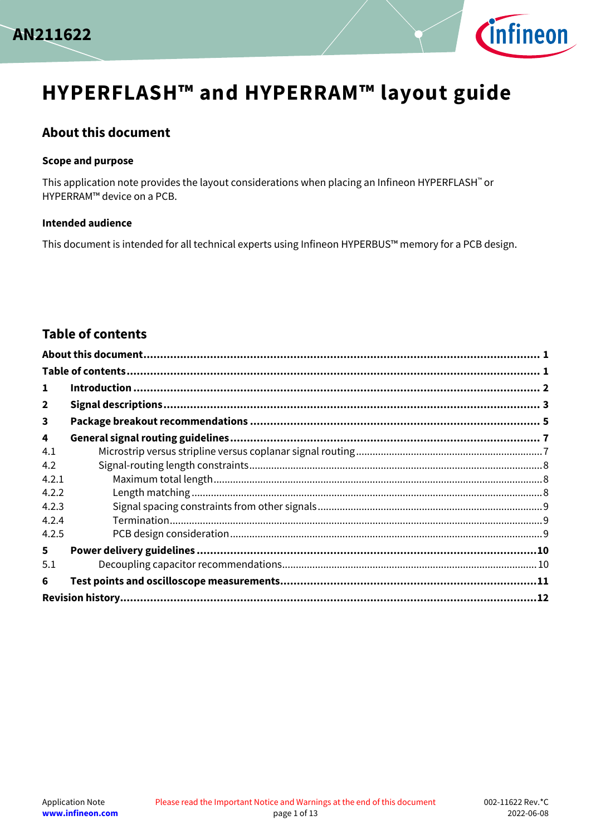



# **HYPERFLASH™ and HYPERRAM™ layout guide**

### <span id="page-0-0"></span>**About this document**

#### **Scope and purpose**

This application note provides the layout considerations when placing an Infineon HYPERFLASH™ or HYPERRAM™ device on a PCB.

#### **Intended audience**

This document is intended for all technical experts using Infineon HYPERBUS™ memory for a PCB design.

## <span id="page-0-1"></span>**Table of contents**

| 1                       |  |
|-------------------------|--|
| $\overline{2}$          |  |
| $\overline{\mathbf{3}}$ |  |
| 4                       |  |
| 4.1                     |  |
| 4.2                     |  |
| 4.2.1                   |  |
| 4.2.2                   |  |
| 4.2.3                   |  |
| 4.2.4                   |  |
| 4.2.5                   |  |
| 5.                      |  |
| 5.1                     |  |
| 6                       |  |
|                         |  |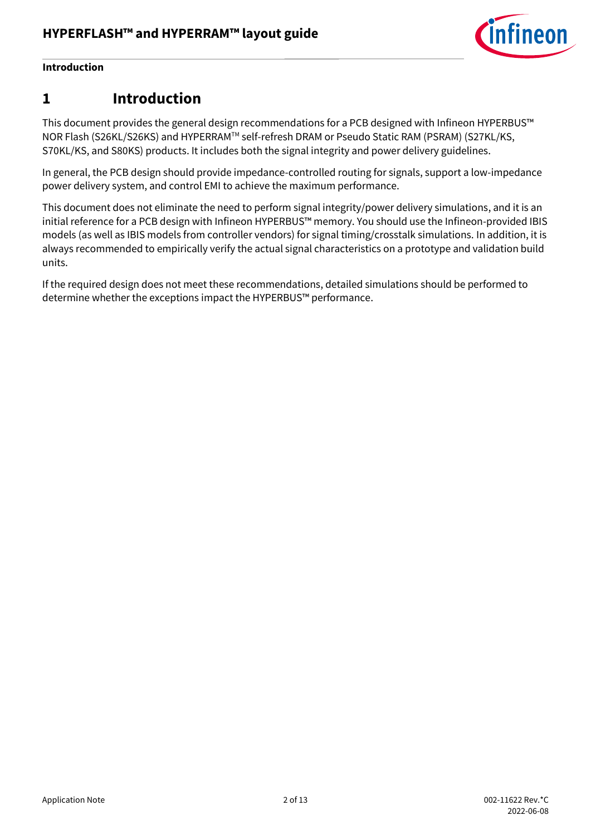

### **Introduction**

## <span id="page-1-0"></span>**1 Introduction**

This document provides the general design recommendations for a PCB designed with Infineon HYPERBUS™ NOR Flash (S26KL/S26KS) and HYPERRAMTM self-refresh DRAM or Pseudo Static RAM (PSRAM) (S27KL/KS, S70KL/KS, and S80KS) products. It includes both the signal integrity and power delivery guidelines.

In general, the PCB design should provide impedance-controlled routing for signals, support a low-impedance power delivery system, and control EMI to achieve the maximum performance.

This document does not eliminate the need to perform signal integrity/power delivery simulations, and it is an initial reference for a PCB design with Infineon HYPERBUS™ memory. You should use the Infineon-provided IBIS models (as well as IBIS models from controller vendors) for signal timing/crosstalk simulations. In addition, it is always recommended to empirically verify the actual signal characteristics on a prototype and validation build units.

If the required design does not meet these recommendations, detailed simulations should be performed to determine whether the exceptions impact the HYPERBUS™ performance.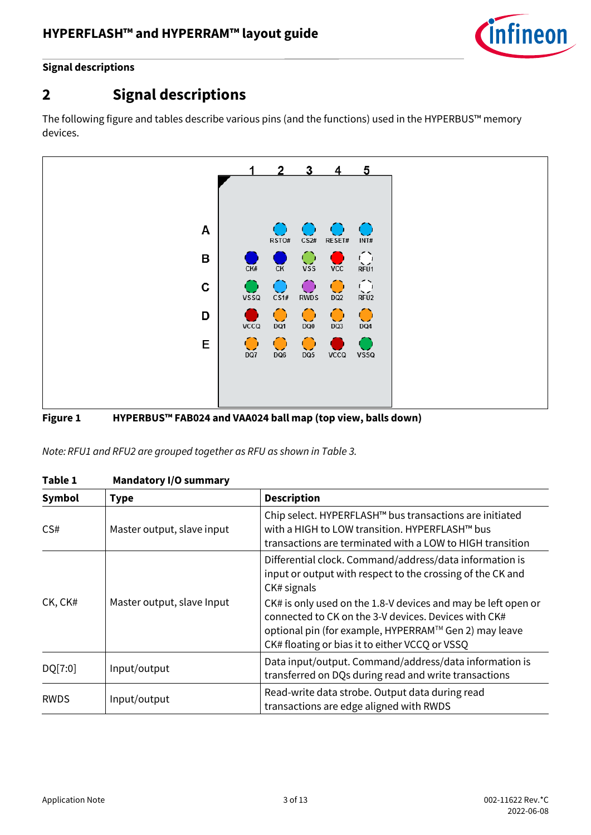

### **Signal descriptions**

# <span id="page-2-0"></span>**2 Signal descriptions**

The following figure and tables describe various pins (and the functions) used in the HYPERBUS™ memory devices.



#### **Figure 1 HYPERBUS™ FAB024 and VAA024 ball map (top view, balls down)**

*Note: RFU1 and RFU2 are grouped together as RFU as shown in [Table 3.](#page-3-0)*

|             | <b>Manaatory i/o</b> Sannius y |                                                                                                                                                                                                                                  |  |
|-------------|--------------------------------|----------------------------------------------------------------------------------------------------------------------------------------------------------------------------------------------------------------------------------|--|
| Symbol      | <b>Type</b>                    | <b>Description</b>                                                                                                                                                                                                               |  |
| CS#         | Master output, slave input     | Chip select. HYPERFLASH™ bus transactions are initiated<br>with a HIGH to LOW transition. HYPERFLASH™ bus<br>transactions are terminated with a LOW to HIGH transition                                                           |  |
|             |                                | Differential clock. Command/address/data information is<br>input or output with respect to the crossing of the CK and<br>CK# signals                                                                                             |  |
| CK, CK#     | Master output, slave Input     | CK# is only used on the 1.8-V devices and may be left open or<br>connected to CK on the 3-V devices. Devices with CK#<br>optional pin (for example, HYPERRAM™ Gen 2) may leave<br>CK# floating or bias it to either VCCQ or VSSQ |  |
| DQ[7:0]     | Input/output                   | Data input/output. Command/address/data information is<br>transferred on DQs during read and write transactions                                                                                                                  |  |
| <b>RWDS</b> | Input/output                   | Read-write data strobe. Output data during read<br>transactions are edge aligned with RWDS                                                                                                                                       |  |

| Table 1 | <b>Mandatory I/O summary</b> |  |
|---------|------------------------------|--|
|---------|------------------------------|--|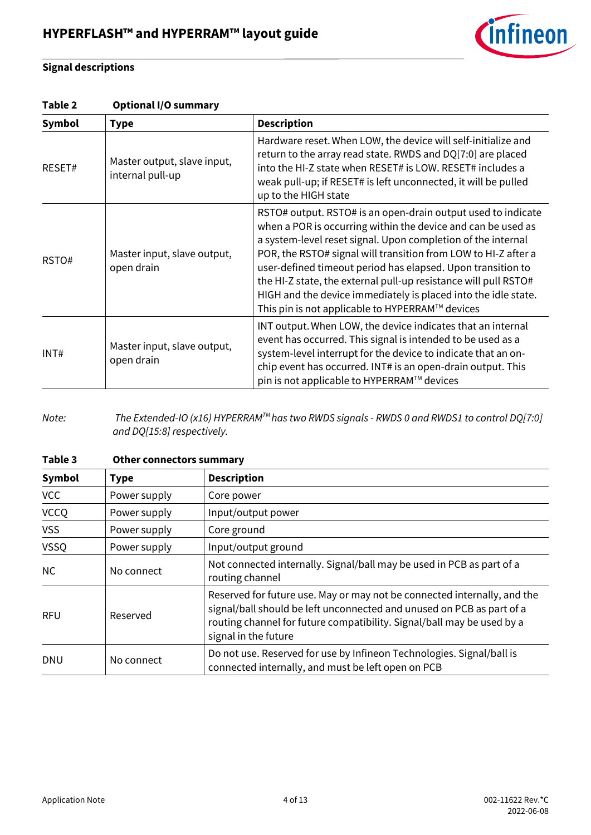

### **Signal descriptions**

#### **Table 2 Optional I/O summary**

| Symbol | <b>Type</b>                                     | <b>Description</b>                                                                                                                                                                                                                                                                                                                                                                                                                                                                                                    |
|--------|-------------------------------------------------|-----------------------------------------------------------------------------------------------------------------------------------------------------------------------------------------------------------------------------------------------------------------------------------------------------------------------------------------------------------------------------------------------------------------------------------------------------------------------------------------------------------------------|
| RESET# | Master output, slave input,<br>internal pull-up | Hardware reset. When LOW, the device will self-initialize and<br>return to the array read state. RWDS and DQ[7:0] are placed<br>into the HI-Z state when RESET# is LOW. RESET# includes a<br>weak pull-up; if RESET# is left unconnected, it will be pulled<br>up to the HIGH state                                                                                                                                                                                                                                   |
| RSTO#  | Master input, slave output,<br>open drain       | RSTO# output. RSTO# is an open-drain output used to indicate<br>when a POR is occurring within the device and can be used as<br>a system-level reset signal. Upon completion of the internal<br>POR, the RSTO# signal will transition from LOW to HI-Z after a<br>user-defined timeout period has elapsed. Upon transition to<br>the HI-Z state, the external pull-up resistance will pull RSTO#<br>HIGH and the device immediately is placed into the idle state.<br>This pin is not applicable to HYPERRAM™ devices |
| INT#   | Master input, slave output,<br>open drain       | INT output. When LOW, the device indicates that an internal<br>event has occurred. This signal is intended to be used as a<br>system-level interrupt for the device to indicate that an on-<br>chip event has occurred. INT# is an open-drain output. This<br>pin is not applicable to HYPERRAM™ devices                                                                                                                                                                                                              |

*Note: The Extended-IO (x16) HYPERRAMTM has two RWDS signals - RWDS 0 and RWDS1 to control DQ[7:0] and DQ[15:8] respectively.* 

<span id="page-3-0"></span>

| Table 3       | <b>Other connectors summary</b> |                                                                                                                                                                                                                                                     |  |
|---------------|---------------------------------|-----------------------------------------------------------------------------------------------------------------------------------------------------------------------------------------------------------------------------------------------------|--|
| <b>Symbol</b> | <b>Type</b>                     | <b>Description</b>                                                                                                                                                                                                                                  |  |
| <b>VCC</b>    | Power supply                    | Core power                                                                                                                                                                                                                                          |  |
| <b>VCCQ</b>   | Power supply                    | Input/output power                                                                                                                                                                                                                                  |  |
| <b>VSS</b>    | Power supply                    | Core ground                                                                                                                                                                                                                                         |  |
| <b>VSSQ</b>   | Power supply                    | Input/output ground                                                                                                                                                                                                                                 |  |
| NC            | No connect                      | Not connected internally. Signal/ball may be used in PCB as part of a<br>routing channel                                                                                                                                                            |  |
| <b>RFU</b>    | Reserved                        | Reserved for future use. May or may not be connected internally, and the<br>signal/ball should be left unconnected and unused on PCB as part of a<br>routing channel for future compatibility. Signal/ball may be used by a<br>signal in the future |  |
| <b>DNU</b>    | No connect                      | Do not use. Reserved for use by Infineon Technologies. Signal/ball is<br>connected internally, and must be left open on PCB                                                                                                                         |  |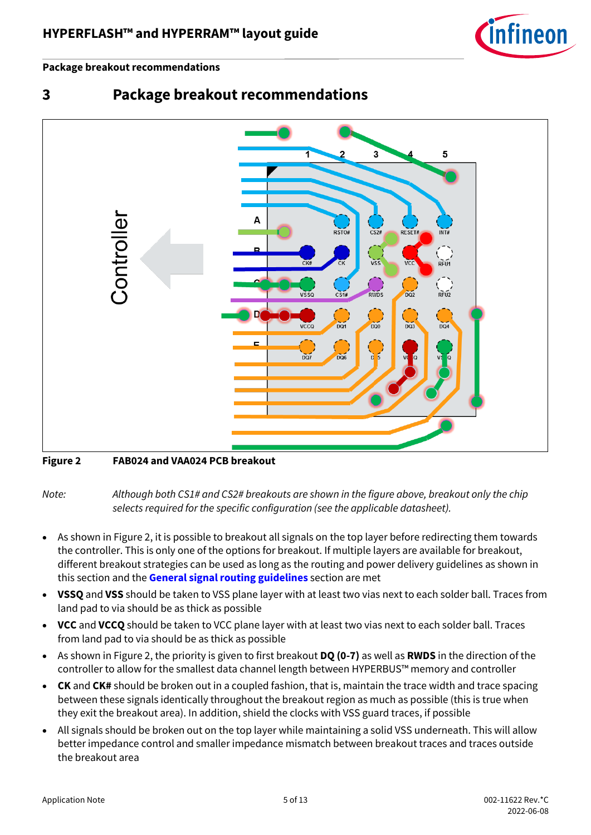

#### **Package breakout recommendations**



## <span id="page-4-0"></span>**3 Package breakout recommendations**

### <span id="page-4-1"></span>**Figure 2 FAB024 and VAA024 PCB breakout**

*Note: Although both CS1# and CS2# breakouts are shown in the figure above, breakout only the chip selects required for the specific configuration (see the applicable datasheet).*

- As shown in [Figure 2,](#page-4-1) it is possible to breakout all signals on the top layer before redirecting them towards the controller. This is only one of the options for breakout. If multiple layers are available for breakout, different breakout strategies can be used as long as the routing and power delivery guidelines as shown in this section and the **[General signal routing guidelines](#page-6-0)** section are met
- **VSSQ** and **VSS** should be taken to VSS plane layer with at least two vias next to each solder ball. Traces from land pad to via should be as thick as possible
- **VCC** and **VCCQ** should be taken to VCC plane layer with at least two vias next to each solder ball. Traces from land pad to via should be as thick as possible
- As shown in [Figure 2,](#page-4-1) the priority is given to first breakout **DQ (0-7)** as well as **RWDS** in the direction of the controller to allow for the smallest data channel length between HYPERBUS™ memory and controller
- **CK** and **CK#** should be broken out in a coupled fashion, that is, maintain the trace width and trace spacing between these signals identically throughout the breakout region as much as possible (this is true when they exit the breakout area). In addition, shield the clocks with VSS guard traces, if possible
- All signals should be broken out on the top layer while maintaining a solid VSS underneath. This will allow better impedance control and smaller impedance mismatch between breakout traces and traces outside the breakout area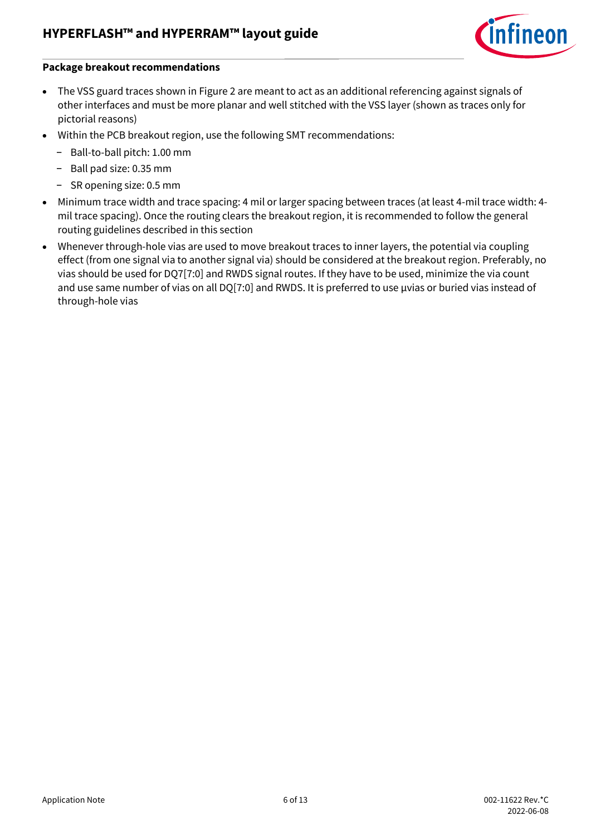

#### **Package breakout recommendations**

- The VSS guard traces shown i[n Figure 2](#page-4-1) are meant to act as an additional referencing against signals of other interfaces and must be more planar and well stitched with the VSS layer (shown as traces only for pictorial reasons)
- Within the PCB breakout region, use the following SMT recommendations:
	- − Ball-to-ball pitch: 1.00 mm
	- − Ball pad size: 0.35 mm
	- − SR opening size: 0.5 mm
- Minimum trace width and trace spacing: 4 mil or larger spacing between traces (at least 4-mil trace width: 4 mil trace spacing). Once the routing clears the breakout region, it is recommended to follow the general routing guidelines described in this section
- Whenever through-hole vias are used to move breakout traces to inner layers, the potential via coupling effect (from one signal via to another signal via) should be considered at the breakout region. Preferably, no vias should be used for DQ7[7:0] and RWDS signal routes. If they have to be used, minimize the via count and use same number of vias on all DQ[7:0] and RWDS. It is preferred to use µvias or buried vias instead of through-hole vias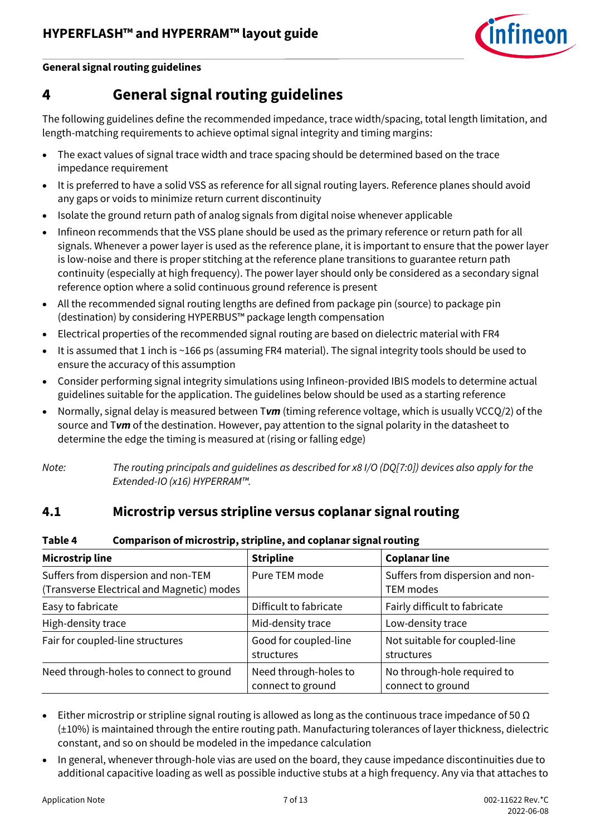

#### **General signal routing guidelines**

## <span id="page-6-0"></span>**4 General signal routing guidelines**

The following guidelines define the recommended impedance, trace width/spacing, total length limitation, and length-matching requirements to achieve optimal signal integrity and timing margins:

- The exact values of signal trace width and trace spacing should be determined based on the trace impedance requirement
- It is preferred to have a solid VSS as reference for all signal routing layers. Reference planes should avoid any gaps or voids to minimize return current discontinuity
- Isolate the ground return path of analog signals from digital noise whenever applicable
- Infineon recommends that the VSS plane should be used as the primary reference or return path for all signals. Whenever a power layer is used as the reference plane, it is important to ensure that the power layer is low-noise and there is proper stitching at the reference plane transitions to guarantee return path continuity (especially at high frequency). The power layer should only be considered as a secondary signal reference option where a solid continuous ground reference is present
- All the recommended signal routing lengths are defined from package pin (source) to package pin (destination) by considering HYPERBUS™ package length compensation
- Electrical properties of the recommended signal routing are based on dielectric material with FR4
- It is assumed that 1 inch is ~166 ps (assuming FR4 material). The signal integrity tools should be used to ensure the accuracy of this assumption
- Consider performing signal integrity simulations using Infineon-provided IBIS models to determine actual guidelines suitable for the application. The guidelines below should be used as a starting reference
- Normally, signal delay is measured between T*vm* (timing reference voltage, which is usually VCCQ/2) of the source and T*vm* of the destination. However, pay attention to the signal polarity in the datasheet to determine the edge the timing is measured at (rising or falling edge)

*Note: The routing principals and guidelines as described for x8 I/O (DQ[7:0]) devices also apply for the Extended-IO (x16) HYPERRAM™.*

## <span id="page-6-1"></span>**4.1 Microstrip versus stripline versus coplanar signal routing**

#### **Table 4 Comparison of microstrip, stripline, and coplanar signal routing**

| <b>Microstrip line</b>                                                            | <b>Stripline</b>                           | <b>Coplanar line</b>                             |
|-----------------------------------------------------------------------------------|--------------------------------------------|--------------------------------------------------|
| Suffers from dispersion and non-TEM<br>(Transverse Electrical and Magnetic) modes | Pure TEM mode                              | Suffers from dispersion and non-<br>TEM modes    |
| Easy to fabricate                                                                 | Difficult to fabricate                     | Fairly difficult to fabricate                    |
| High-density trace                                                                | Mid-density trace                          | Low-density trace                                |
| Fair for coupled-line structures                                                  | Good for coupled-line<br>structures        | Not suitable for coupled-line<br>structures      |
| Need through-holes to connect to ground                                           | Need through-holes to<br>connect to ground | No through-hole required to<br>connect to ground |

- Either microstrip or stripline signal routing is allowed as long as the continuous trace impedance of 50  $\Omega$ (±10%) is maintained through the entire routing path. Manufacturing tolerances of layer thickness, dielectric constant, and so on should be modeled in the impedance calculation
- In general, whenever through-hole vias are used on the board, they cause impedance discontinuities due to additional capacitive loading as well as possible inductive stubs at a high frequency. Any via that attaches to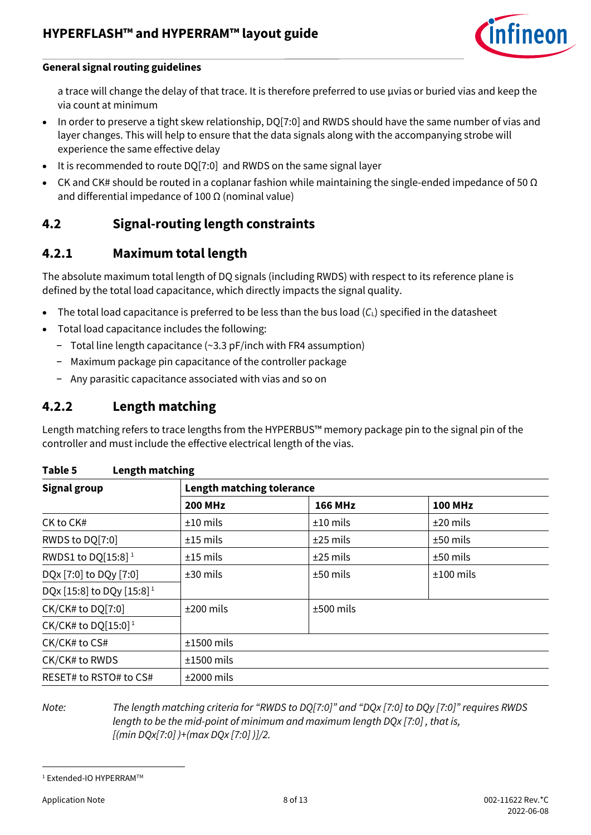

#### **General signal routing guidelines**

a trace will change the delay of that trace. It is therefore preferred to use µvias or buried vias and keep the via count at minimum

- In order to preserve a tight skew relationship, DQ[7:0] and RWDS should have the same number of vias and layer changes. This will help to ensure that the data signals along with the accompanying strobe will experience the same effective delay
- It is recommended to route DQ[7:0] and RWDS on the same signal layer
- CK and CK# should be routed in a coplanar fashion while maintaining the single-ended impedance of 50  $\Omega$ and differential impedance of 100  $\Omega$  (nominal value)

## <span id="page-7-0"></span>**4.2 Signal-routing length constraints**

## <span id="page-7-1"></span>**4.2.1 Maximum total length**

The absolute maximum total length of DQ signals (including RWDS) with respect to its reference plane is defined by the total load capacitance, which directly impacts the signal quality.

- The total load capacitance is preferred to be less than the bus load  $(C_L)$  specified in the datasheet
- Total load capacitance includes the following:
	- − Total line length capacitance (~3.3 pF/inch with FR4 assumption)
	- − Maximum package pin capacitance of the controller package
	- − Any parasitic capacitance associated with vias and so on

## <span id="page-7-2"></span>**4.2.2 Length matching**

Length matching refers to trace lengths from the HYPERBUS™ memory package pin to the signal pin of the controller and must include the effective electrical length of the vias.

<span id="page-7-3"></span>

| <b>Signal group</b>                   | <b>Length matching tolerance</b> |                |                |  |
|---------------------------------------|----------------------------------|----------------|----------------|--|
|                                       | <b>200 MHz</b>                   | <b>166 MHz</b> | <b>100 MHz</b> |  |
| CK to CK#                             | $±10$ mils                       | $±10$ mils     | $±20$ mils     |  |
| RWDS to DQ[7:0]                       | $±15$ mils                       | $±25$ mils     | $±50$ mils     |  |
| RWDS1 to DQ[15:8] <sup>1</sup>        | $±15$ mils                       | $±25$ mils     | $±50$ mils     |  |
| DQx [7:0] to DQy [7:0]                | $±30$ mils                       | $±50$ mils     | $±100$ mils    |  |
| DQx [15:8] to DQy [15:8] <sup>1</sup> |                                  |                |                |  |
| CK/CK# to DQ[7:0]                     | $±200$ mils                      | $±500$ mils    |                |  |
| CK/CK# to DQ[15:0] <sup>1</sup>       |                                  |                |                |  |
| CK/CK# to CS#                         | $±1500$ mils                     |                |                |  |
| CK/CK# to RWDS                        | $±1500$ mils                     |                |                |  |
| RESET# to RSTO# to CS#                | $±2000$ mils                     |                |                |  |

l

*Note: The length matching criteria for "RWDS to DQ[7:0]" and "DQx [7:0] to DQy [7:0]" requires RWDS length to be the mid-point of minimum and maximum length DQx [7:0] , that is, [(min DQx[7:0] )+(max DQx [7:0] )]/2.*

<sup>&</sup>lt;sup>1</sup> Extended-IO HYPERRAM™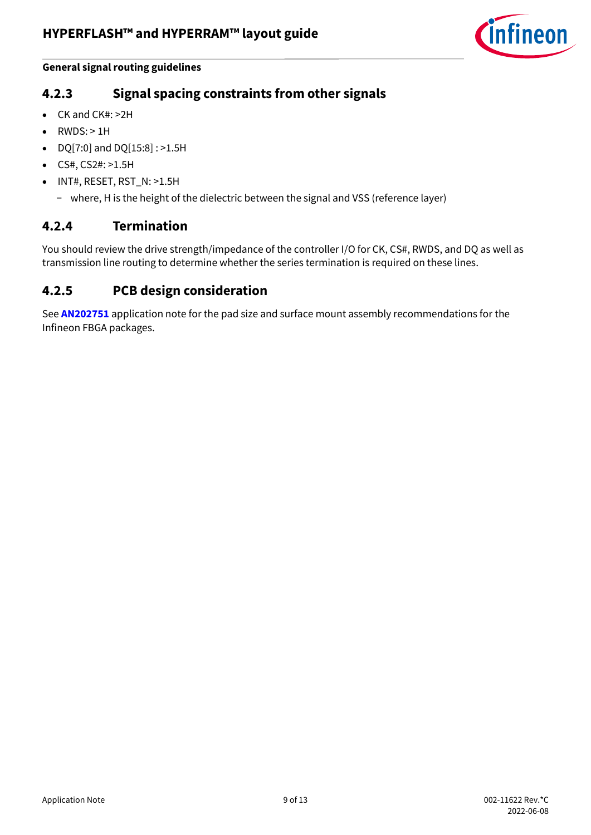

#### **General signal routing guidelines**

## <span id="page-8-0"></span>**4.2.3 Signal spacing constraints from other signals**

- CK and CK#: >2H
- $\bullet$  RWDS:  $>1H$
- DQ[7:0] and DQ[15:8] : >1.5H
- CS#, CS2#: >1.5H
- INT#, RESET, RST\_N: >1.5H
	- − where, H is the height of the dielectric between the signal and VSS (reference layer)

## <span id="page-8-1"></span>**4.2.4 Termination**

You should review the drive strength/impedance of the controller I/O for CK, CS#, RWDS, and DQ as well as transmission line routing to determine whether the series termination is required on these lines.

## <span id="page-8-2"></span>**4.2.5 PCB design consideration**

See **[AN202751](https://www.infineon.com/dgdl/Infineon-AN202751_Surface_Mount_Assembly_Recommendations_for_Infineon_FBGA_Packages-ApplicationNotes-v03_00-EN.pdf?fileId=8ac78c8c7cdc391c017d0742707d6581&utm_source=cypress&utm_medium=referral&utm_campaign=202110_globe_en_all_integration-application_note)** application note for the pad size and surface mount assembly recommendations for the Infineon FBGA packages.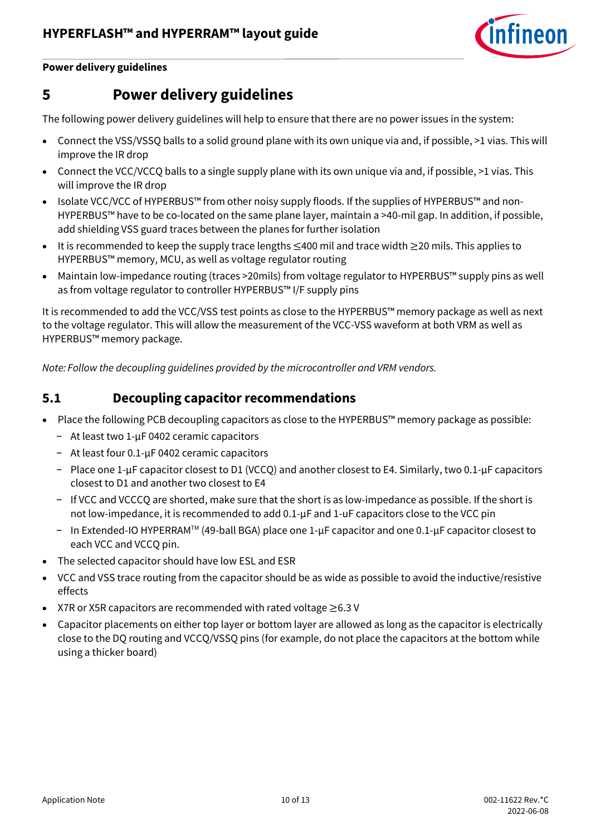

#### **Power delivery guidelines**

## <span id="page-9-0"></span>**5 Power delivery guidelines**

The following power delivery guidelines will help to ensure that there are no power issues in the system:

- Connect the VSS/VSSQ balls to a solid ground plane with its own unique via and, if possible, >1 vias. This will improve the IR drop
- Connect the VCC/VCCQ balls to a single supply plane with its own unique via and, if possible, >1 vias. This will improve the IR drop
- Isolate VCC/VCC of HYPERBUS™ from other noisy supply floods. If the supplies of HYPERBUS™ and non-HYPERBUS™ have to be co-located on the same plane layer, maintain a >40-mil gap. In addition, if possible, add shielding VSS guard traces between the planes for further isolation
- It is recommended to keep the supply trace lengths ≤400 mil and trace width ≥20 mils. This applies to HYPERBUS™ memory, MCU, as well as voltage regulator routing
- Maintain low-impedance routing (traces >20mils) from voltage regulator to HYPERBUS™ supply pins as well as from voltage regulator to controller HYPERBUS™ I/F supply pins

It is recommended to add the VCC/VSS test points as close to the HYPERBUS™ memory package as well as next to the voltage regulator. This will allow the measurement of the VCC-VSS waveform at both VRM as well as HYPERBUS™ memory package.

*Note: Follow the decoupling guidelines provided by the microcontroller and VRM vendors.*

## <span id="page-9-1"></span>**5.1 Decoupling capacitor recommendations**

- Place the following PCB decoupling capacitors as close to the HYPERBUS™ memory package as possible:
	- − At least two 1-µF 0402 ceramic capacitors
	- − At least four 0.1-µF 0402 ceramic capacitors
	- − Place one 1-µF capacitor closest to D1 (VCCQ) and another closest to E4. Similarly, two 0.1-µF capacitors closest to D1 and another two closest to E4
	- − If VCC and VCCCQ are shorted, make sure that the short is as low-impedance as possible. If the short is not low-impedance, it is recommended to add 0.1-µF and 1-uF capacitors close to the VCC pin
	- − In Extended-IO HYPERRAMTM (49-ball BGA) place one 1-µF capacitor and one 0.1-µF capacitor closest to each VCC and VCCQ pin.
- The selected capacitor should have low ESL and ESR
- VCC and VSS trace routing from the capacitor should be as wide as possible to avoid the inductive/resistive effects
- X7R or X5R capacitors are recommended with rated voltage ≥6.3 V
- Capacitor placements on either top layer or bottom layer are allowed as long as the capacitor is electrically close to the DQ routing and VCCQ/VSSQ pins (for example, do not place the capacitors at the bottom while using a thicker board)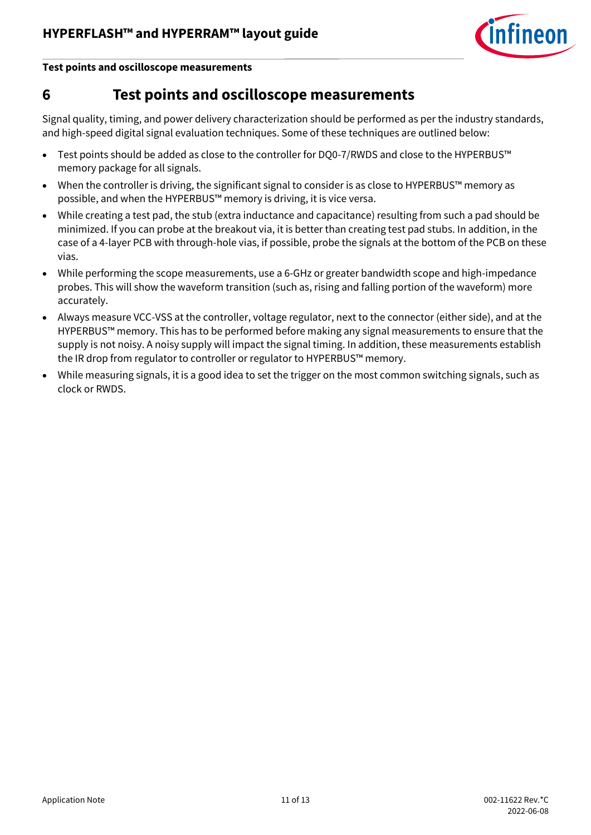

**Test points and oscilloscope measurements**

## <span id="page-10-0"></span>**6 Test points and oscilloscope measurements**

Signal quality, timing, and power delivery characterization should be performed as per the industry standards, and high-speed digital signal evaluation techniques. Some of these techniques are outlined below:

- Test points should be added as close to the controller for DQ0-7/RWDS and close to the HYPERBUS™ memory package for all signals.
- When the controller is driving, the significant signal to consider is as close to HYPERBUS™ memory as possible, and when the HYPERBUS™ memory is driving, it is vice versa.
- While creating a test pad, the stub (extra inductance and capacitance) resulting from such a pad should be minimized. If you can probe at the breakout via, it is better than creating test pad stubs. In addition, in the case of a 4-layer PCB with through-hole vias, if possible, probe the signals at the bottom of the PCB on these vias.
- While performing the scope measurements, use a 6-GHz or greater bandwidth scope and high-impedance probes. This will show the waveform transition (such as, rising and falling portion of the waveform) more accurately.
- Always measure VCC-VSS at the controller, voltage regulator, next to the connector (either side), and at the HYPERBUS™ memory. This has to be performed before making any signal measurements to ensure that the supply is not noisy. A noisy supply will impact the signal timing. In addition, these measurements establish the IR drop from regulator to controller or regulator to HYPERBUS™ memory.
- While measuring signals, it is a good idea to set the trigger on the most common switching signals, such as clock or RWDS.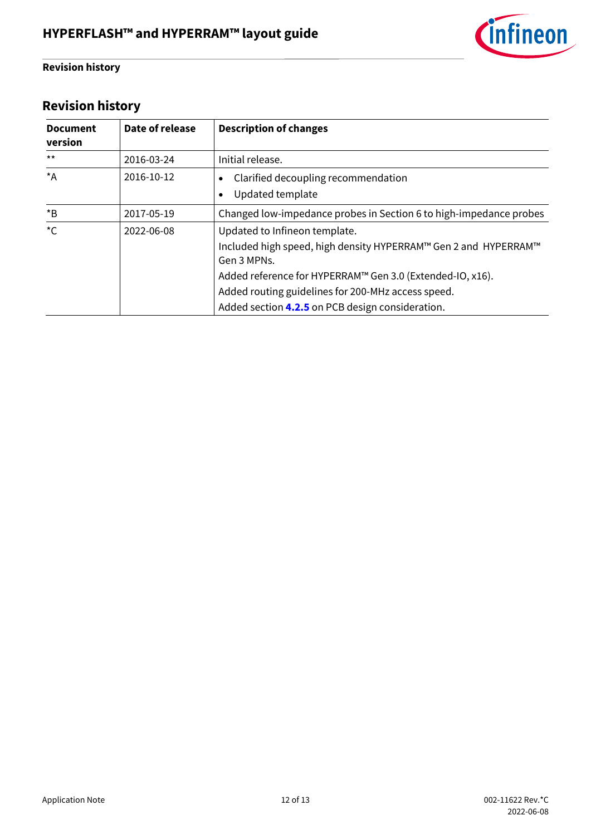

### **Revision history**

# <span id="page-11-0"></span>**Revision history**

| <b>Document</b><br>version | Date of release | <b>Description of changes</b>                                                                                                                                                                                                                                                          |
|----------------------------|-----------------|----------------------------------------------------------------------------------------------------------------------------------------------------------------------------------------------------------------------------------------------------------------------------------------|
| $***$                      | 2016-03-24      | Initial release.                                                                                                                                                                                                                                                                       |
| $*_{A}$                    | 2016-10-12      | Clarified decoupling recommendation<br>Updated template                                                                                                                                                                                                                                |
| $*_{\mathsf{B}}$           | 2017-05-19      | Changed low-impedance probes in Section 6 to high-impedance probes                                                                                                                                                                                                                     |
| ${}^{\star}C$              | 2022-06-08      | Updated to Infineon template.<br>Included high speed, high density HYPERRAM™ Gen 2 and HYPERRAM™<br>Gen 3 MPNs.<br>Added reference for HYPERRAM™ Gen 3.0 (Extended-IO, x16).<br>Added routing guidelines for 200-MHz access speed.<br>Added section 4.2.5 on PCB design consideration. |